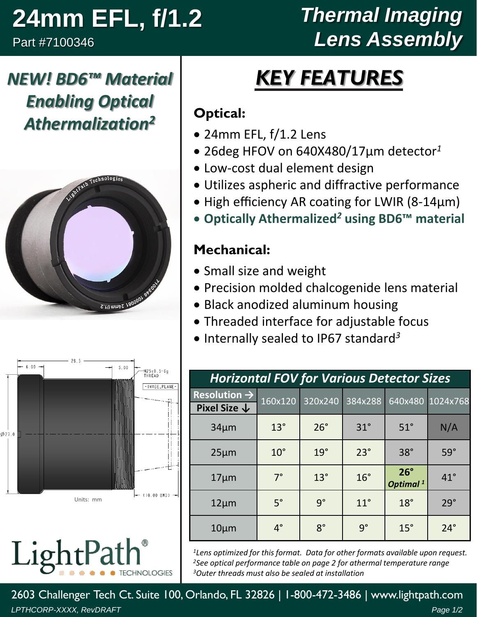## **24mm EFL, f/1.2**

*NEW! BD6™ Material* 

*Enabling Optical* 

*Athermalization<sup>2</sup>*

VightPath Technologie

Part #7100346

## *Thermal Imaging Lens Assembly*

# *KEY FEATURES*

#### **Optical:**

- 24mm EFL, f/1.2 Lens
- 26deg HFOV on 640X480/17µm detector*<sup>1</sup>*
- Low-cost dual element design
- Utilizes aspheric and diffractive performance
- High efficiency AR coating for LWIR (8-14µm)
- **Optically Athermalized***<sup>2</sup>* **using BD6™ material**

#### **Mechanical:**

- Small size and weight
- Precision molded chalcogenide lens material
- Black anodized aluminum housing
- Threaded interface for adjustable focus
- Internally sealed to IP67 standard *3*

| <b>Horizontal FOV for Various Detector Sizes</b>    |              |              |              |                                      |                  |  |  |
|-----------------------------------------------------|--------------|--------------|--------------|--------------------------------------|------------------|--|--|
| Resolution $\rightarrow$<br>Pixel Size $\downarrow$ | 160x120      | 320x240      | 384x288      |                                      | 640x480 1024x768 |  |  |
| $34 \mu m$                                          | $13^\circ$   | $26^\circ$   | $31^\circ$   | $51^\circ$                           | N/A              |  |  |
| $25 \mu m$                                          | $10^{\circ}$ | $19^\circ$   | $23^\circ$   | $38^\circ$                           | $59^\circ$       |  |  |
| $17 \mu m$                                          | $7^\circ$    | $13^{\circ}$ | $16^{\circ}$ | $26^{\circ}$<br>Optimal <sup>1</sup> | $41^{\circ}$     |  |  |
| $12 \mu m$                                          | $5^\circ$    | $q^{\circ}$  | $11^{\circ}$ | $18^\circ$                           | $29^\circ$       |  |  |
| $10 \mu m$                                          | $4^\circ$    | $8^{\circ}$  | $9^{\circ}$  | $15^\circ$                           | $24^\circ$       |  |  |

*<sup>1</sup>Lens optimized for this format. Data for other formats available upon request. <sup>2</sup>See optical performance table on page 2 for athermal temperature range <sup>3</sup>Outer threads must also be sealed at installation*

2603 Challenger Tech Ct. Suite 100, Orlando, FL 32826 | 1-800-472-3486 | www.lightpath.com *LPTHCORP-XXXX, RevDRAFT Page 1/2*



LightPa

2.111 mm45 1800001 046

**TECHNOLOGIES**